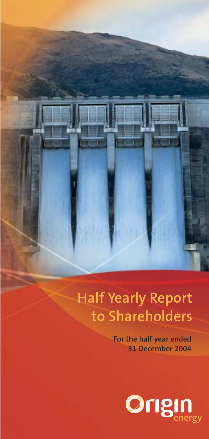

# **Half Yearly Report to Shareholders**

**For the half year ended 31 December 2004**

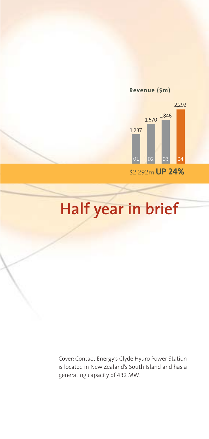

**Revenue (\$m)**

# **Half year in brief**

Cover: Contact Energy's Clyde Hydro Power Station is located in New Zealand's South Island and has a generating capacity of 432 MW.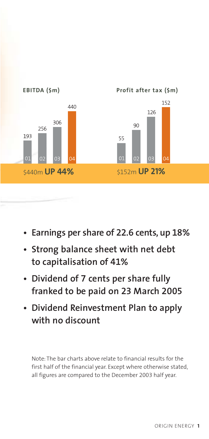

- **Earnings per share of 22.6 cents, up 18%**
- **• Strong balance sheet with net debt to capitalisation of 41%**
- **Dividend of 7 cents per share fully franked to be paid on 23 March 2005**
- **Dividend Reinvestment Plan to apply with no discount**

Note: The bar charts above relate to financial results for the first half of the financial year. Except where otherwise stated, all figures are compared to the December 2003 half year.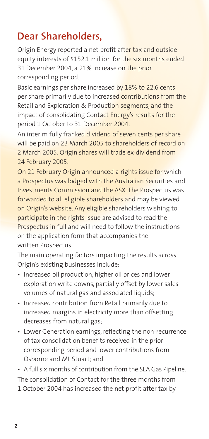## **Dear Shareholders,**

Origin Energy reported a net profit after tax and outside equity interests of \$152.1 million for the six months ended 31 December 2004, a 21% increase on the prior corresponding period.

Basic earnings per share increased by 18% to 22.6 cents per share primarily due to increased contributions from the Retail and Exploration & Production segments, and the impact of consolidating Contact Energy's results for the period 1 October to 31 December 2004.

An interim fully franked dividend of seven cents per share will be paid on 23 March 2005 to shareholders of record on 2 March 2005. Origin shares will trade ex-dividend from 24 February 2005.

On 21 February Origin announced a rights issue for which a Prospectus was lodged with the Australian Securities and Investments Commission and the ASX. The Prospectus was forwarded to all eligible shareholders and may be viewed on Origin's website. Any eligible shareholders wishing to participate in the rights issue are advised to read the Prospectus in full and will need to follow the instructions on the application form that accompanies the written Prospectus.

The main operating factors impacting the results across Origin's existing businesses include:

- Increased oil production, higher oil prices and lower exploration write downs, partially offset by lower sales volumes of natural gas and associated liquids;
- Increased contribution from Retail primarily due to increased margins in electricity more than offsetting decreases from natural gas;
- Lower Generation earnings, reflecting the non-recurrence of tax consolidation benefits received in the prior corresponding period and lower contributions from Osborne and Mt Stuart; and

• A full six months of contribution from the SEA Gas Pipeline. The consolidation of Contact for the three months from 1 October 2004 has increased the net profit after tax by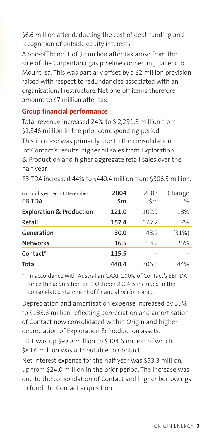\$6.6 million after deducting the cost of debt funding and recognition of outside equity interests.

A one-off benefit of \$9 million after tax arose from the sale of the Carpentaria gas pipeline connecting Ballera to Mount Isa. This was partially offset by a \$2 million provision raised with respect to redundancies associated with an organisational restructure. Net one-off items therefore amount to \$7 million after tax.

#### **Group financial performance**

Total revenue increased 24% to \$ 2,291.8 million from \$1,846 million in the prior corresponding period. This increase was primarily due to the consolidation of Contact's results, higher oil sales from Exploration & Production and higher aggregate retail sales over the half year.

| 6 months ended 31 December<br><b>EBITDA</b> | 2004<br>\$m | 2003<br>\$m | Change<br>% |
|---------------------------------------------|-------------|-------------|-------------|
| <b>Exploration &amp; Production</b>         | 121.0       | 102.9       | 18%         |
| Retail                                      | 157.4       | 147.2       | 7%          |
| Generation                                  | 30.0        | 43.2        | (31%)       |
| <b>Networks</b>                             | 16.5        | 13.2        | 25%         |
| Contact*                                    | 115.5       |             |             |
| <b>Total</b>                                | 440.4       | 306.5       | 44%         |

EBITDA increased 44% to \$440.4 million from \$306.5 million.

\* In accordance with Australian GAAP 100% of Contact's EBITDA since the acquisition on 1 October 2004 is included in the consolidated statement of financial performance.

Depreciation and amortisation expense increased by 35% to \$135.8 million reflecting depreciation and amortisation of Contact now consolidated within Origin and higher depreciation of Exploration & Production assets. EBIT was up \$98.8 million to \$304.6 million of which

\$83.6 million was attributable to Contact.

Net interest expense for the half year was \$53.3 million, up from \$24.0 million in the prior period. The increase was due to the consolidation of Contact and higher borrowings to fund the Contact acquisition.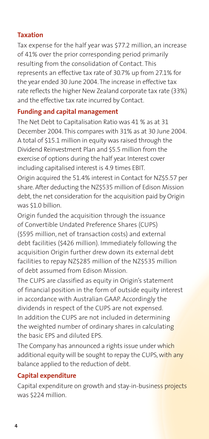#### **Taxation**

Tax expense for the half year was \$77.2 million, an increase of 41% over the prior corresponding period primarily resulting from the consolidation of Contact. This represents an effective tax rate of 30.7% up from 27.1% for the year ended 30 June 2004. The increase in effective tax rate reflects the higher New Zealand corporate tax rate (33%) and the effective tax rate incurred by Contact.

#### **Funding and capital management**

The Net Debt to Capitalisation Ratio was 41 % as at 31 December 2004. This compares with 31% as at 30 June 2004. A total of \$15.1 million in equity was raised through the Dividend Reinvestment Plan and \$5.5 million from the exercise of options during the half year. Interest cover including capitalised interest is 4.9 times EBIT. Origin acquired the 51.4% interest in Contact for NZ\$5.57 per share. After deducting the NZ\$535 million of Edison Mission debt, the net consideration for the acquisition paid by Origin was \$1.0 billion.

Origin funded the acquisition through the issuance of Convertible Undated Preference Shares (CUPS) (\$595 million, net of transaction costs) and external debt facilities (\$426 million). Immediately following the acquisition Origin further drew down its external debt facilities to repay NZ\$285 million of the NZ\$535 million of debt assumed from Edison Mission.

The CUPS are classified as equity in Origin's statement of financial position in the form of outside equity interest in accordance with Australian GAAP. Accordingly the dividends in respect of the CUPS are not expensed. In addition the CUPS are not included in determining the weighted number of ordinary shares in calculating the basic EPS and diluted EPS.

The Company has announced a rights issue under which additional equity will be sought to repay the CUPS, with any balance applied to the reduction of debt.

#### **Capital expenditure**

Capital expenditure on growth and stay-in-business projects was \$224 million.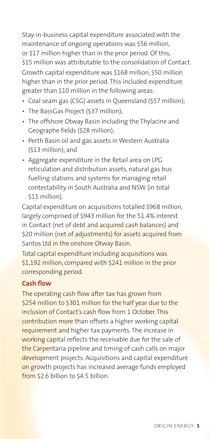Stay-in-business capital expenditure associated with the maintenance of ongoing operations was \$56 million, or \$17 million higher than in the prior period. Of this, \$15 million was attributable to the consolidation of Contact. Growth capital expenditure was \$168 million, \$50 million higher than in the prior period. This included expenditure greater than \$10 million in the following areas:

- Coal seam gas (CSG) assets in Queensland (\$57 million);
- The BassGas Project (\$37 million);
- The offshore Otway Basin including the Thylacine and Geographe fields (\$28 million);
- Perth Basin oil and gas assets in Western Australia (\$13 million); and
- Aggregate expenditure in the Retail area on LPG reticulation and distribution assets, natural gas bus fuelling stations and systems for managing retail contestability in South Australia and NSW (in total \$11 million).

Capital expenditure on acquisitions totalled \$968 million, largely comprised of \$943 million for the 51.4% interest in Contact (net of debt and acquired cash balances) and \$20 million (net of adjustments) for assets acquired from Santos Ltd in the onshore Otway Basin.

Total capital expenditure including acquisitions was \$1,192 million, compared with \$241 million in the prior corresponding period.

#### **Cash flow**

The operating cash flow after tax has grown from \$254 million to \$301 million for the half year due to the inclusion of Contact's cash flow from 1 October. This contribution more than offsets a higher working capital requirement and higher tax payments. The increase in working capital reflects the receivable due for the sale of the Carpentaria pipeline and timing of cash calls on major development projects. Acquisitions and capital expenditure on growth projects has increased average funds employed from \$2.6 billion to \$4.5 billion.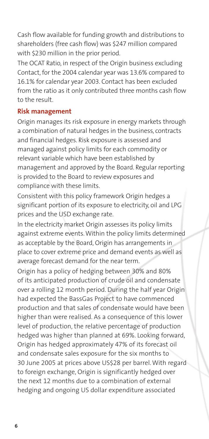Cash flow available for funding growth and distributions to shareholders (free cash flow) was \$247 million compared with \$230 million in the prior period.

The OCAT Ratio, in respect of the Origin business excluding Contact, for the 2004 calendar year was 13.6% compared to 16.1% for calendar year 2003. Contact has been excluded from the ratio as it only contributed three months cash flow to the result.

#### **Risk management**

Origin manages its risk exposure in energy markets through a combination of natural hedges in the business, contracts and financial hedges. Risk exposure is assessed and managed against policy limits for each commodity or relevant variable which have been established by management and approved by the Board. Regular reporting is provided to the Board to review exposures and compliance with these limits.

Consistent with this policy framework Origin hedges a significant portion of its exposure to electricity, oil and LPG prices and the USD exchange rate.

In the electricity market Origin assesses its policy limits against extreme events. Within the policy limits determined as acceptable by the Board, Origin has arrangements in place to cover extreme price and demand events as well as average forecast demand for the near term.

Origin has a policy of hedging between 30% and 80% of its anticipated production of crude oil and condensate over a rolling 12 month period. During the half year Origin had expected the BassGas Project to have commenced production and that sales of condensate would have been higher than were realised. As a consequence of this lower level of production, the relative percentage of production hedged was higher than planned at 69%. Looking forward, Origin has hedged approximately 47% of its forecast oil and condensate sales exposure for the six months to 30 June 2005 at prices above US\$28 per barrel. With regard to foreign exchange, Origin is significantly hedged over the next 12 months due to a combination of external hedging and ongoing US dollar expenditure associated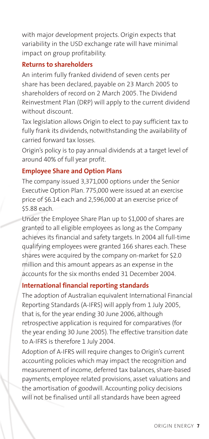with major development projects. Origin expects that variability in the USD exchange rate will have minimal impact on group profitability.

#### **Returns to shareholders**

An interim fully franked dividend of seven cents per share has been declared, payable on 23 March 2005 to shareholders of record on 2 March 2005. The Dividend Reinvestment Plan (DRP) will apply to the current dividend without discount.

Tax legislation allows Origin to elect to pay sufficient tax to fully frank its dividends, notwithstanding the availability of carried forward tax losses.

Origin's policy is to pay annual dividends at a target level of around 40% of full year profit.

#### **Employee Share and Option Plans**

The company issued 3,371,000 options under the Senior Executive Option Plan. 775,000 were issued at an exercise price of \$6.14 each and 2,596,000 at an exercise price of \$5.88 each.

Under the Employee Share Plan up to \$1,000 of shares are granted to all eligible employees as long as the Company achieves its financial and safety targets. In 2004 all full-time qualifying employees were granted 166 shares each. These shares were acquired by the company on-market for \$2.0 million and this amount appears as an expense in the accounts for the six months ended 31 December 2004.

#### **International financial reporting standards**

The adoption of Australian equivalent International Financial Reporting Standards (A-IFRS) will apply from 1 July 2005, that is, for the year ending 30 June 2006, although retrospective application is required for comparatives (for the year ending 30 June 2005). The effective transition date to A-IFRS is therefore 1 July 2004.

Adoption of A-IFRS will require changes to Origin's current accounting policies which may impact the recognition and measurement of income, deferred tax balances, share-based payments, employee related provisions, asset valuations and the amortisation of goodwill. Accounting policy decisions will not be finalised until all standards have been agreed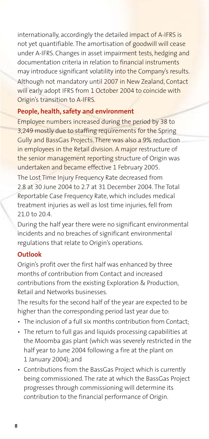internationally, accordingly the detailed impact of A-IFRS is not yet quantifiable. The amortisation of goodwill will cease under A-IFRS. Changes in asset impairment tests, hedging and documentation criteria in relation to financial instruments may introduce significant volatility into the Company's results. Although not mandatory until 2007 in New Zealand, Contact will early adopt IFRS from 1 October 2004 to coincide with Origin's transition to A-IFRS.

#### **People, health, safety and environment**

Employee numbers increased during the period by 38 to 3,249 mostly due to staffing requirements for the Spring Gully and BassGas Projects. There was also a 9% reduction in employees in the Retail division. A major restructure of the senior management reporting structure of Origin was undertaken and became effective 1 February 2005. The Lost Time Injury Frequency Rate decreased from 2.8 at 30 June 2004 to 2.7 at 31 December 2004. The Total Reportable Case Frequency Rate, which includes medical treatment injuries as well as lost time injuries, fell from 21.0 to 20.4.

During the half year there were no significant environmental incidents and no breaches of significant environmental regulations that relate to Origin's operations.

#### **Outlook**

Origin's profit over the first half was enhanced by three months of contribution from Contact and increased contributions from the existing Exploration & Production, Retail and Networks businesses.

The results for the second half of the year are expected to be higher than the corresponding period last year due to:

- The inclusion of a full six months contribution from Contact;
- The return to full gas and liquids processing capabilities at the Moomba gas plant (which was severely restricted in the half year to June 2004 following a fire at the plant on 1 January 2004); and
- Contributions from the BassGas Project which is currently being commissioned. The rate at which the BassGas Project progresses through commissioning will determine its contribution to the financial performance of Origin.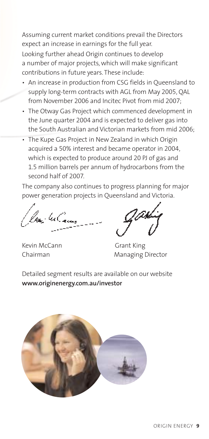Assuming current market conditions prevail the Directors expect an increase in earnings for the full year. Looking further ahead Origin continues to develop a number of major projects, which will make significant contributions in future years. These include:

- An increase in production from CSG fields in Queensland to supply long-term contracts with AGL from May 2005, QAL from November 2006 and Incitec Pivot from mid 2007;
- The Otway Gas Project which commenced development in the June quarter 2004 and is expected to deliver gas into the South Australian and Victorian markets from mid 2006;
- The Kupe Gas Project in New Zealand in which Origin acquired a 50% interest and became operator in 2004, which is expected to produce around 20 PJ of gas and 1.5 million barrels per annum of hydrocarbons from the second half of 2007.

The company also continues to progress planning for major power generation projects in Queensland and Victoria.

los: 4Cam

Kevin McCann Grant King

Chairman Managing Director

Detailed segment results are available on our website **www.originenergy.com.au/investor**

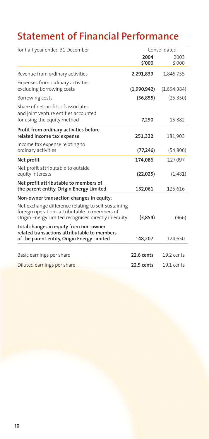# **Statement of Financial Performance**

| for half year ended 31 December                                                                                                                             | Consolidated   |                |
|-------------------------------------------------------------------------------------------------------------------------------------------------------------|----------------|----------------|
|                                                                                                                                                             | 2004<br>\$'000 | 2003<br>\$'000 |
| Revenue from ordinary activities                                                                                                                            | 2,291,839      | 1,845,755      |
| Expenses from ordinary activities<br>excluding borrowing costs                                                                                              | (1,990,942)    | (1,654,384)    |
| Borrowing costs                                                                                                                                             | (56, 855)      | (25, 350)      |
| Share of net profits of associates<br>and joint venture entities accounted                                                                                  |                |                |
| for using the equity method                                                                                                                                 | 7,290          | 15,882         |
| Profit from ordinary activities before<br>related income tax expense                                                                                        | 251,332        | 181,903        |
| Income tax expense relating to<br>ordinary activities                                                                                                       | (77, 246)      | (54, 806)      |
| Net profit                                                                                                                                                  | 174,086        | 127,097        |
| Net profit attributable to outside<br>equity interests                                                                                                      | (22, 025)      | (1, 481)       |
| Net profit attributable to members of<br>the parent entity, Origin Energy Limited                                                                           | 152,061        | 125,616        |
| Non-owner transaction changes in equity:                                                                                                                    |                |                |
| Net exchange difference relating to self-sustaining<br>foreign operations attributable to members of<br>Origin Energy Limited recognised directly in equity | (3,854)        | (966)          |
| Total changes in equity from non-owner<br>related transactions attributable to members<br>of the parent entity, Origin Energy Limited                       | 148,207        | 124,650        |
|                                                                                                                                                             |                |                |
| Basic earnings per share                                                                                                                                    | 22.6 cents     | 19.2 cents     |
| Diluted earnings per share                                                                                                                                  | $22.5$ cents   | 19.1 cents     |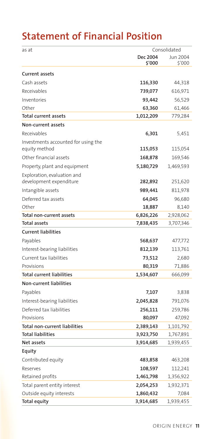## **Statement of Financial Position**

| as at                                                | Consolidated       |                    |
|------------------------------------------------------|--------------------|--------------------|
|                                                      | Dec 2004<br>\$'000 | Jun 2004<br>\$'000 |
| <b>Current assets</b>                                |                    |                    |
| Cash assets                                          | 116,330            | 44,318             |
| Receivables                                          | 739,077            | 616,971            |
| Inventories                                          | 93,442             | 56,529             |
| Other                                                | 63,360             | 61,466             |
| <b>Total current assets</b>                          | 1,012,209          | 779,284            |
| Non-current assets                                   |                    |                    |
| Receivables                                          | 6,301              | 5,451              |
| Investments accounted for using the<br>equity method | 115,053            | 115,054            |
| Other financial assets                               | 168,878            | 169,546            |
| Property, plant and equipment                        | 5,180,729          | 1,469,593          |
| Exploration, evaluation and                          |                    |                    |
| development expenditure                              | 282,892            | 251,620            |
| Intangible assets                                    | 989,441            | 811,978            |
| Deferred tax assets                                  | 64,045             | 96,680             |
| Other                                                | 18,887             | 8,140              |
| Total non-current assets                             | 6,826,226          | 2,928,062          |
| <b>Total assets</b>                                  | 7,838,435          | 3,707,346          |
| <b>Current liabilities</b>                           |                    |                    |
| Payables                                             | 568,637            | 477,772            |
| Interest-bearing liabilities                         | 812,139            | 113,761            |
| Current tax liabilities                              | 73,512             | 2,680              |
| Provisions                                           | 80,319             | 71,886             |
| <b>Total current liabilities</b>                     | 1,534,607          | 666,099            |
| Non-current liabilities                              |                    |                    |
| Payables                                             | 7,107              | 3,838              |
| Interest-bearing liabilities                         | 2,045,828          | 791,076            |
| Deferred tax liabilities                             | 256,111            | 259,786            |
| Provisions                                           | 80,097             | 47,092             |
| <b>Total non-current liabilities</b>                 | 2,389,143          | 1,101,792          |
| <b>Total liabilities</b>                             | 3,923,750          | 1,767,891          |
| Net assets                                           | 3,914,685          | 1,939,455          |
| Equity                                               |                    |                    |
| Contributed equity                                   | 483,858            | 463,208            |
| Reserves                                             | 108,597            | 112,241            |
| Retained profits                                     | 1,461,798          | 1,356,922          |
| Total parent entity interest                         | 2,054,253          | 1,932,371          |
| Outside equity interests                             | 1,860,432          | 7,084              |
| Total equity                                         | 3,914,685          | 1,939,455          |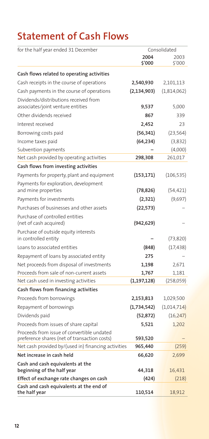# **Statement of Cash Flows**

| for the half year ended 31 December                                                        | Consolidated   |                |
|--------------------------------------------------------------------------------------------|----------------|----------------|
|                                                                                            | 2004<br>\$'000 | 2003<br>\$'000 |
| Cash flows related to operating activities                                                 |                |                |
| Cash receipts in the course of operations                                                  | 2,540,930      | 2,101,113      |
| Cash payments in the course of operations                                                  | (2, 134, 903)  | (1,814,062)    |
| Dividends/distributions received from                                                      |                |                |
| associates/joint venture entities                                                          | 9,537          | 5,000          |
| Other dividends received                                                                   | 867            | 339            |
| Interest received                                                                          | 2,452          | 23             |
| Borrowing costs paid                                                                       | (56, 341)      | (23, 564)      |
| Income taxes paid                                                                          | (64, 234)      | (3,832)        |
| Subvention payments                                                                        |                | (4,000)        |
| Net cash provided by operating activities                                                  | 298,308        | 261,017        |
| Cash flows from investing activities                                                       |                |                |
| Payments for property, plant and equipment                                                 | (153,171)      | (106, 535)     |
| Payments for exploration, development                                                      |                |                |
| and mine properties                                                                        | (78, 826)      | (54, 421)      |
| Payments for investments                                                                   | (2,321)        | (9,697)        |
| Purchases of businesses and other assets                                                   | (22, 573)      |                |
| Purchase of controlled entities<br>(net of cash acquired)                                  | (942,629)      |                |
| Purchase of outside equity interests<br>in controlled entity                               |                | (73, 820)      |
| Loans to associated entities                                                               | (848)          | (17, 438)      |
| Repayment of loans by associated entity                                                    | 275            |                |
| Net proceeds from disposal of investments                                                  | 1,198          | 2,671          |
| Proceeds from sale of non-current assets                                                   | 1,767          | 1,181          |
| Net cash used in investing activities                                                      | (1, 197, 128)  | (258, 059)     |
| Cash flows from financing activities                                                       |                |                |
| Proceeds from borrowings                                                                   | 2,153,813      | 1,029,500      |
| Repayment of borrowings                                                                    | (1,734,542)    | (1,014,714)    |
| Dividends paid                                                                             | (52, 872)      | (16, 247)      |
| Proceeds from issues of share capital                                                      | 5,521          | 1,202          |
| Proceeds from issue of convertible undated<br>preference shares (net of transaction costs) | 593,520        |                |
| Net cash provided by/(used in) financing activities                                        | 965,440        | (259)          |
| Net increase in cash held                                                                  | 66,620         | 2,699          |
| Cash and cash equivalents at the                                                           |                |                |
| beginning of the half year                                                                 | 44,318         | 16,431         |
| Effect of exchange rate changes on cash                                                    | (424)          | (218)          |
| Cash and cash equivalents at the end of<br>the half year                                   | 110,514        | 18,912         |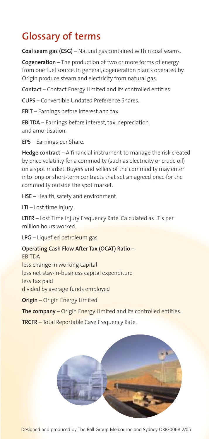## **Glossary of terms**

**Coal seam gas (CSG)** – Natural gas contained within coal seams.

**Cogeneration** – The production of two or more forms of energy from one fuel source. In general, cogeneration plants operated by Origin produce steam and electricity from natural gas.

**Contact** – Contact Energy Limited and its controlled entities.

**CUPS** – Convertible Undated Preference Shares.

**EBIT** – Earnings before interest and tax.

**EBITDA** – Earnings before interest, tax, depreciation and amortisation.

**EPS** – Earnings per Share.

**Hedge contract** – A financial instrument to manage the risk created by price volatility for a commodity (such as electricity or crude oil) on a spot market. Buyers and sellers of the commodity may enter into long or short-term contracts that set an agreed price for the commodity outside the spot market.

**HSE** – Health, safety and environment.

**LTI** – Lost time injury.

**LTIFR** – Lost Time Injury Frequency Rate. Calculated as LTIs per million hours worked.

**LPG** – Liquefied petroleum gas.

#### **Operating Cash Flow After Tax (OCAT) Ratio** –

EBITDA less change in working capital less net stay-in-business capital expenditure less tax paid divided by average funds employed

**Origin** – Origin Energy Limited.

**The company** – Origin Energy Limited and its controlled entities.

**TRCFR** – Total Reportable Case Frequency Rate.



Designed and produced by The Ball Group Melbourne and Sydney ORIG0068 2/05